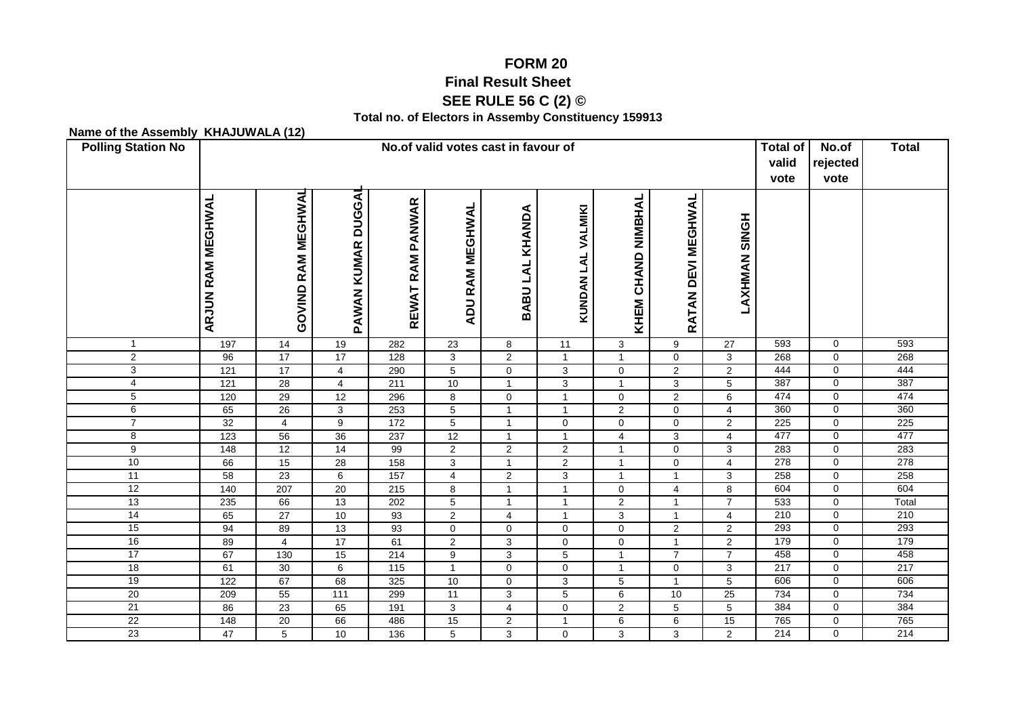## **FORM 20Final Result Sheet**

## **SEE RULE 56 C (2) ©**

## **Total no. of Electors in Assemby Constituency 159913**

## **Name of the Assembly KHAJUWALA (12)**

| <b>Polling Station No</b> | No.of valid votes cast in favour of |                    |                                     |                            |                 |                          |                     |                              |                                        |                      | <b>Total of</b><br>valid<br>vote | No.of<br>rejected<br>vote | <b>Total</b> |
|---------------------------|-------------------------------------|--------------------|-------------------------------------|----------------------------|-----------------|--------------------------|---------------------|------------------------------|----------------------------------------|----------------------|----------------------------------|---------------------------|--------------|
|                           | <b>ARJUN RAM MEGHWAL</b>            | GOVIND RAM MEGHWAL | <b>DUGGAI</b><br><b>PAWAN KUMAR</b> | <b>RAM PANWAR</b><br>REWAT | ADU RAM MEGHWAL | KHANDA<br><b>BABULAL</b> | KUNDAN LAL VALMIKI  | <b>CHAND NIMBHAL</b><br>KHEM | <b>MEGHWAL</b><br><b>DEVI</b><br>RATAN | <b>LAXHMAN SINGH</b> |                                  |                           |              |
| $\mathbf{1}$              | 197                                 | $\overline{14}$    | 19                                  | 282                        | $\overline{23}$ | 8                        | $\overline{11}$     | 3                            | 9                                      | $\overline{27}$      | 593                              | $\mathbf 0$               | 593          |
| $\overline{c}$            | 96                                  | $\overline{17}$    | $\overline{17}$                     | 128                        | 3               | $\overline{2}$           | $\mathbf{1}$        | $\mathbf{1}$                 | $\mathbf 0$                            | 3                    | 268                              | $\mathbf 0$               | 268          |
| 3                         | $\overline{121}$                    | 17                 | $\overline{4}$                      | 290                        | 5               | $\mathbf 0$              | 3                   | 0                            | $\overline{2}$                         | $\mathbf 2$          | 444                              | $\mathbf 0$               | 444          |
| 4                         | 121                                 | $\overline{28}$    | $\overline{4}$                      | 211                        | $10$            | $\mathbf{1}$             | $\mathbf{3}$        | $\mathbf{1}$                 | 3                                      | 5                    | 387                              | 0                         | 387          |
| $\overline{5}$            | 120                                 | 29                 | 12                                  | 296                        | 8               | $\mathbf 0$              | $\mathbf{1}$        | $\mathbf 0$                  | $\overline{c}$                         | 6                    | 474                              | $\mathbf 0$               | 474          |
| 6                         | 65                                  | 26                 | 3                                   | 253                        | $\overline{5}$  | $\mathbf{1}$             | $\mathbf{1}$        | $\overline{2}$               | $\mathbf 0$                            | $\overline{4}$       | 360                              | $\mathbf 0$               | 360          |
| $\overline{7}$            | 32                                  | $\overline{4}$     | $\boldsymbol{9}$                    | 172                        | 5               | $\mathbf{1}$             | $\mathbf 0$         | $\mathbf 0$                  | $\mathbf 0$                            | $\overline{2}$       | 225                              | $\mathbf 0$               | 225          |
| 8                         | 123                                 | 56                 | 36                                  | 237                        | 12              | $\mathbf{1}$             | $\mathbf{1}$        | $\overline{4}$               | 3                                      | $\overline{4}$       | 477                              | $\mathbf 0$               | 477          |
| 9                         | 148                                 | 12                 | 14                                  | 99                         | $\overline{2}$  | $\overline{2}$           | $\overline{2}$      | $\mathbf{1}$                 | $\mathbf 0$                            | 3                    | 283                              | $\mathbf{0}$              | 283          |
| 10                        | 66                                  | 15                 | 28                                  | 158                        | 3               | $\mathbf{1}$             | $\overline{2}$      | $\mathbf{1}$                 | $\mathbf 0$                            | $\overline{4}$       | 278                              | $\mathbf 0$               | 278          |
| 11                        | 58                                  | 23                 | $\,6\,$                             | 157                        | $\overline{4}$  | $\sqrt{2}$               | $\overline{3}$      | $\mathbf{1}$                 | $\overline{1}$                         | $\mathbf{3}$         | 258                              | $\mathbf 0$               | 258          |
| 12                        | 140                                 | 207                | $\overline{20}$                     | 215                        | 8               | $\mathbf{1}$             | $\mathbf{1}$        | $\mathbf 0$                  | $\overline{\mathbf{4}}$                | 8                    | 604                              | $\mathbf 0$               | 604          |
| 13                        | 235                                 | 66                 | 13                                  | 202                        | $5\phantom{.0}$ | $\mathbf{1}$             | $\mathbf{1}$        | $\overline{2}$               | $\overline{1}$                         | $\overline{7}$       | 533                              | $\mathbf 0$               | Total        |
| 14                        | 65                                  | 27                 | 10                                  | 93                         | $\overline{2}$  | $\overline{4}$           | $\mathbf{1}$        | 3                            | $\overline{1}$                         | $\overline{4}$       | 210                              | $\mathbf 0$               | 210          |
| 15                        | 94                                  | 89                 | 13                                  | 93                         | $\overline{0}$  | $\pmb{0}$                | $\overline{0}$      | $\overline{0}$               | $\overline{2}$                         | $\overline{2}$       | 293                              | $\overline{0}$            | 293          |
| 16                        | 89                                  | $\overline{4}$     | 17                                  | 61                         | $\overline{2}$  | $\overline{3}$           | $\mathsf{O}\xspace$ | $\mathbf 0$                  | $\overline{1}$                         | $\overline{2}$       | 179                              | $\mathbf 0$               | 179          |
| 17                        | 67                                  | 130                | 15                                  | 214                        | 9               | $\sqrt{3}$               | $\overline{5}$      | $\mathbf{1}$                 | $\overline{7}$                         | $\overline{7}$       | 458                              | $\mathbf 0$               | 458          |
| 18                        | 61                                  | 30                 | 6                                   | $\frac{115}{115}$          | $\mathbf{1}$    | $\pmb{0}$                | $\mathsf{O}\xspace$ | $\mathbf{1}$                 | $\mathbf 0$                            | 3                    | 217                              | $\Omega$                  | 217          |
| 19                        | 122                                 | 67                 | 68                                  | 325                        | 10              | $\pmb{0}$                | $\mathbf{3}$        | 5                            | $\overline{1}$                         | $\sqrt{5}$           | 606                              | $\mathbf 0$               | 606          |
| 20                        | 209                                 | 55                 | $\frac{111}{111}$                   | 299                        | $\overline{11}$ | $\overline{3}$           | $\overline{5}$      | $6\overline{6}$              | 10                                     | 25                   | 734                              | $\mathbf{0}$              | 734          |
| $\overline{21}$<br>22     | 86                                  | 23                 | 65                                  | 191                        | 3               | $\overline{4}$           | $\mathbf 0$         | $\overline{2}$               | 5                                      | 5                    | 384<br>765                       | 0                         | 384          |
|                           | 148                                 | 20                 | 66                                  | 486                        | 15              | $\overline{2}$           | $\mathbf{1}$        | 6                            | 6                                      | 15                   |                                  | $\mathbf 0$               | 765          |
| 23                        | 47                                  | 5                  | 10                                  | 136                        | 5               | 3                        | $\mathbf 0$         | 3                            | 3                                      | $\overline{2}$       | 214                              | $\mathbf 0$               | 214          |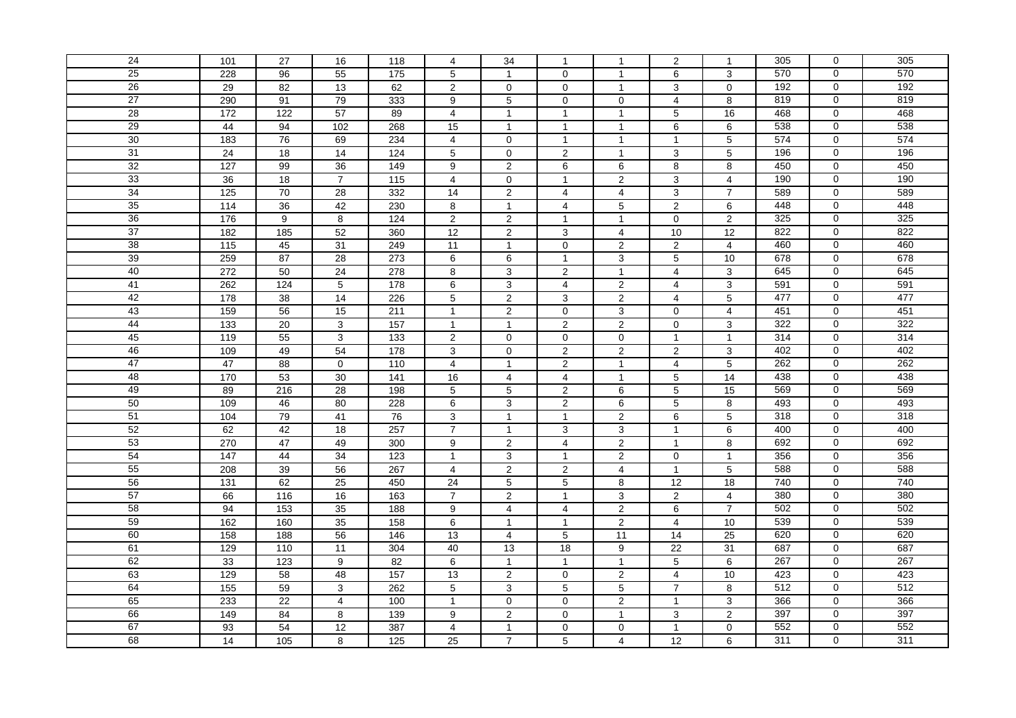| 24 | 101               | 27                | 16              | 118              | $\overline{4}$ | 34               | $\mathbf{1}$            | $\mathbf{1}$            | 2               | $\mathbf{1}$    | 305              | $\mathbf 0$         | 305              |
|----|-------------------|-------------------|-----------------|------------------|----------------|------------------|-------------------------|-------------------------|-----------------|-----------------|------------------|---------------------|------------------|
| 25 | 228               | 96                | 55              | $\frac{175}{2}$  | 5              | $\mathbf{1}$     | $\mathbf 0$             | $\mathbf{1}$            | 6               | 3               | 570              | $\mathbf 0$         | 570              |
| 26 | 29                | 82                | 13              | 62               | $\overline{c}$ | $\pmb{0}$        | $\mathbf 0$             | $\mathbf{1}$            | 3               | $\mathbf 0$     | 192              | 0                   | 192              |
| 27 | 290               | 91                | 79              | 333              | 9              | 5                | $\mathbf 0$             | $\mathbf 0$             | $\overline{4}$  | 8               | 819              | $\mathbf 0$         | 819              |
| 28 | $\frac{1}{172}$   | $\overline{122}$  | $\overline{57}$ | 89               | $\overline{4}$ | $\mathbf{1}$     | $\mathbf{1}$            | $\mathbf{1}$            | 5               | 16              | 468              | $\mathbf 0$         | 468              |
| 29 | 44                | 94                | 102             | 268              | 15             | $\mathbf{1}$     | $\mathbf{1}$            | $\mathbf{1}$            | 6               | 6               | 538              | $\mathbf 0$         | 538              |
| 30 | 183               | 76                | 69              | 234              | $\overline{4}$ | $\mathbf 0$      | $\mathbf{1}$            | $\mathbf{1}$            | $\overline{1}$  | $\overline{5}$  | 574              | $\overline{0}$      | 574              |
| 31 | 24                | 18                | 14              | 124              | 5              | $\pmb{0}$        | $\overline{2}$          | $\mathbf{1}$            | $\mathbf{3}$    | 5               | 196              | $\mathbf 0$         | 196              |
| 32 | 127               | 99                | $\overline{36}$ | 149              | 9              | $\overline{2}$   | $\overline{6}$          | $\,6\,$                 | 8               | $\overline{8}$  | 450              | $\mathbf 0$         | 450              |
| 33 | $\overline{36}$   | $\overline{18}$   | $\overline{7}$  | 115              | $\overline{4}$ | $\mathbf 0$      | $\mathbf{1}$            | 2                       | $\sqrt{3}$      | $\overline{4}$  | 190              | $\mathbf 0$         | 190              |
| 34 | $\frac{125}{25}$  | $\overline{70}$   | $\overline{28}$ | 332              | 14             | $\overline{2}$   | $\overline{4}$          | $\overline{4}$          | $\mathbf{3}$    | $\overline{7}$  | 589              | $\mathsf{O}\xspace$ | 589              |
| 35 | 114               | 36                | 42              | 230              | 8              | $\mathbf{1}$     | 4                       | 5                       | $\overline{c}$  | 6               | 448              | $\mathbf 0$         | 448              |
| 36 | 176               | $\boldsymbol{9}$  | 8               | 124              | $\overline{c}$ | $\mathbf 2$      | 1                       | 1                       | $\mathsf 0$     | $\mathbf 2$     | 325              | $\mathbf 0$         | 325              |
| 37 | 182               | $\frac{1}{185}$   | 52              | 360              | 12             | $\overline{2}$   | 3                       | $\overline{4}$          | 10              | $\overline{12}$ | 822              | $\mathbf{0}$        | 822              |
| 38 | $\frac{115}{115}$ | 45                | 31              | 249              | 11             | $\mathbf{1}$     | $\mathbf 0$             | 2                       | 2               | 4               | 460              | $\mathbf 0$         | 460              |
| 39 | 259               | 87                | 28              | 273              | 6              | 6                | $\mathbf{1}$            | $\mathbf{3}$            | 5               | 10              | 678              | $\mathbf 0$         | 678              |
| 40 | 272               | 50                | 24              | 278              | 8              | $\overline{3}$   | $\overline{2}$          | $\mathbf{1}$            | $\overline{4}$  | $\overline{3}$  | 645              | $\overline{0}$      | 645              |
| 41 | 262               | 124               | $\,$ 5 $\,$     | 178              | 6              | $\mathsf 3$      | $\overline{\mathbf{4}}$ | $\sqrt{2}$              | 4               | $\mathsf 3$     | 591              | $\mathbf 0$         | 591              |
| 42 | 178               | $\overline{38}$   | $\overline{14}$ | 226              | $\overline{5}$ | $\overline{2}$   | $\mathbf{3}$            | $\overline{2}$          | $\overline{4}$  | $\overline{5}$  | 477              | $\mathsf 0$         | 477              |
| 43 | 159               | 56                | 15              | 211              | $\mathbf{1}$   | $\overline{2}$   | $\mathbf 0$             | 3                       | $\mathbf 0$     | $\overline{4}$  | 451              | $\pmb{0}$           | 451              |
| 44 | 133               | $\overline{20}$   | 3               | $\overline{157}$ | $\mathbf{1}$   | $\mathbf{1}$     | 2                       | $\overline{2}$          | $\mathbf 0$     | $\mathsf 3$     | 322              | $\mathbf 0$         | 322              |
| 45 | 119               | $\overline{55}$   | 3               | 133              | $\overline{2}$ | $\mathbf 0$      | $\pmb{0}$               | $\mathbf 0$             | $\overline{1}$  | $\mathbf{1}$    | 314              | $\mathbf 0$         | 314              |
| 46 | 109               | 49                | 54              | 178              | 3              | $\mathbf 0$      | 2                       | 2                       | $\sqrt{2}$      | $\mathbf{3}$    | 402              | 0                   | 402              |
| 47 | 47                | 88                | $\mathbf 0$     | 110              | $\overline{4}$ | $\mathbf{1}$     | 2                       | $\mathbf{1}$            | $\overline{4}$  | 5               | 262              | $\overline{0}$      | 262              |
| 48 | 170               | 53                | 30              | 141              | 16             | $\overline{4}$   | 4                       | $\mathbf{1}$            | $\overline{5}$  | 14              | 438              | $\mathbf 0$         | 438              |
| 49 | 89                | 216               | 28              | 198              | 5              | $\mathbf 5$      | $\overline{\mathbf{c}}$ | 6                       | $\,$ 5 $\,$     | 15              | 569              | 0                   | 569              |
| 50 | 109               | 46                | 80              | 228              | 6              | $\mathsf 3$      | 2                       | 6                       | $\overline{5}$  | 8               | 493              | $\mathbf 0$         | 493              |
| 51 | $\frac{104}{x}$   | 79                | 41              | $\overline{76}$  | 3              | $\mathbf{1}$     | $\mathbf{1}$            | $\overline{2}$          | $\,6$           | $\sqrt{5}$      | 318              | $\mathbf 0$         | 318              |
| 52 | 62                | 42                | 18              | 257              | $\overline{7}$ | $\mathbf{1}$     | 3                       | 3                       | $\overline{1}$  | 6               | 400              | $\mathbf 0$         | 400              |
| 53 | 270               | 47                | 49              | 300              | 9              | $\overline{2}$   | $\overline{4}$          | $\overline{2}$          | $\overline{1}$  | $\overline{8}$  | 692              | $\overline{0}$      | 692              |
| 54 | 147               | 44                | 34              | 123              | $\mathbf{1}$   | $\overline{3}$   | $\mathbf{1}$            | $\overline{2}$          | $\mathbf 0$     | $\mathbf{1}$    | 356              | $\mathbf 0$         | 356              |
| 55 | 208               | 39                | 56              | 267              | 4              | $\overline{2}$   | $\overline{\mathbf{c}}$ | $\overline{\mathbf{4}}$ | $\overline{1}$  | $\overline{5}$  | 588              | $\mathbf 0$         | 588              |
| 56 | 131               | 62                | 25              | 450              | 24             | $\overline{5}$   | 5                       | 8                       | 12              | 18              | 740              | $\pmb{0}$           | 740              |
| 57 | 66                | $\frac{116}{116}$ | 16              | 163              | $\overline{7}$ | $\overline{2}$   | $\mathbf{1}$            | 3                       | $\overline{2}$  | $\overline{4}$  | 380              | $\mathbf 0$         | 380              |
| 58 | 94                | 153               | 35              | 188              | 9              | 4                | $\overline{\mathbf{4}}$ | $\sqrt{2}$              | 6               | $\overline{7}$  | 502              | $\mathbf 0$         | 502              |
| 59 | 162               | 160               | 35              | 158              | 6              | $\overline{1}$   | 1                       | $\overline{2}$          | $\overline{4}$  | 10              | 539              | $\mathbf 0$         | 539              |
| 60 | 158               | 188               | 56              | 146              | 13             | $\overline{4}$   | 5                       | $\overline{11}$         | 14              | $\overline{25}$ | 620              | $\mathbf{0}$        | 620              |
| 61 | 129               | 110               | 11              | 304              | 40             | 13               | $\overline{18}$         | 9                       | $\overline{22}$ | 31              | 687              | 0                   | 687              |
| 62 | 33                | 123               | 9               | 82               | 6              | $\mathbf{1}$     | $\mathbf{1}$            | $\mathbf{1}$            | 5               | 6               | $\overline{267}$ | $\mathbf 0$         | $\overline{267}$ |
| 63 | 129               | 58                | 48              | 157              | 13             | $\overline{2}$   | $\mathsf{O}$            | $\overline{2}$          | $\overline{4}$  | 10              | 423              | $\overline{0}$      | 423              |
| 64 | 155               | 59                | 3               | 262              | $\overline{5}$ | 3                | $\mathbf 5$             | $\overline{5}$          | $\overline{7}$  | 8               | 512              | $\mathbf 0$         | 512              |
| 65 | 233               | 22                | $\overline{4}$  | 100              | $\mathbf{1}$   | $\mathbf 0$      | $\Omega$                | $\overline{2}$          | $\overline{1}$  | $\overline{3}$  | 366              | $\mathbf 0$         | 366              |
| 66 | 149               | 84                | 8               | 139              | 9              | $\boldsymbol{2}$ | $\mathbf 0$             | $\mathbf{1}$            | $\mathbf{3}$    | $\overline{2}$  | 397              | $\mathbf 0$         | 397              |
| 67 |                   |                   |                 |                  |                |                  |                         |                         |                 |                 |                  |                     |                  |
| 68 | 93                | $\overline{54}$   | 12              | 387              | $\overline{4}$ | $\mathbf{1}$     | $\pmb{0}$               | $\mathbf 0$             | $\overline{1}$  | $\pmb{0}$       | 552              | $\mathsf 0$         | 552<br>311       |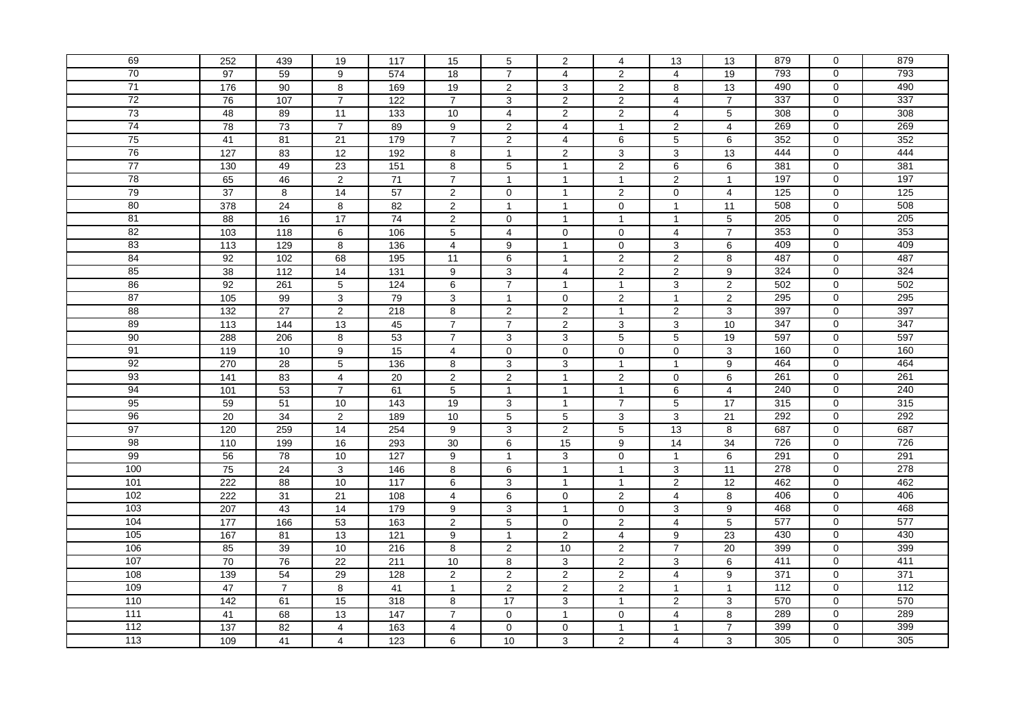| 69    | 252              | 439              | 19              | 117              | 15               | 5                       | 2                       | $\overline{4}$   | 13                      | 13              | 879 | $\mathbf 0$         | 879             |
|-------|------------------|------------------|-----------------|------------------|------------------|-------------------------|-------------------------|------------------|-------------------------|-----------------|-----|---------------------|-----------------|
| 70    | $\overline{97}$  | 59               | 9               | 574              | $\overline{18}$  | $\overline{7}$          | $\overline{4}$          | $\overline{2}$   | $\overline{4}$          | 19              | 793 | $\mathbf 0$         | 793             |
| 71    | 176              | 90               | 8               | 169              | 19               | $\sqrt{2}$              | $\mathbf{3}$            | $\overline{2}$   | 8                       | 13              | 490 | $\mathbf 0$         | 490             |
| 72    | 76               | 107              | $\overline{7}$  | 122              | $\overline{7}$   | 3                       | $\overline{2}$          | 2                | $\overline{4}$          | $\overline{7}$  | 337 | $\mathbf 0$         | 337             |
| 73    | 48               | 89               | 11              | $\overline{133}$ | 10               | $\overline{\mathbf{4}}$ | $\overline{2}$          | $\overline{2}$   | $\overline{4}$          | $\overline{5}$  | 308 | $\mathbf 0$         | 308             |
| 74    | $\overline{78}$  | $\overline{73}$  | $\overline{7}$  | 89               | $\boldsymbol{9}$ | $\boldsymbol{2}$        | $\overline{4}$          | $\mathbf{1}$     | $\sqrt{2}$              | $\overline{4}$  | 269 | $\mathbf 0$         | 269             |
| 75    | 41               | 81               | $\overline{21}$ | 179              | $\overline{7}$   | $\overline{2}$          | $\overline{4}$          | $\overline{6}$   | $\overline{5}$          | $\overline{6}$  | 352 | $\mathbf 0$         | 352             |
| 76    | 127              | 83               | 12              | 192              | 8                | $\mathbf{1}$            | $\overline{2}$          | 3                | $\mathbf{3}$            | 13              | 444 | $\mathbf 0$         | 444             |
| 77    | 130              | 49               | 23              | 151              | 8                | $\overline{5}$          | $\mathbf{1}$            | $\overline{2}$   | $\,6$                   | 6               | 381 | $\mathbf 0$         | 381             |
| 78    | 65               | 46               | 2               | $71$             | $\overline{7}$   | $\overline{1}$          | $\mathbf{1}$            | $\mathbf{1}$     | $\overline{2}$          | $\mathbf{1}$    | 197 | $\mathbf 0$         | 197             |
| 79    | 37               | 8                | 14              | $\overline{57}$  | $\overline{2}$   | $\mathbf 0$             | $\mathbf{1}$            | 2                | $\mathbf 0$             | $\overline{4}$  | 125 | $\mathbf{0}$        | 125             |
| 80    | 378              | 24               | 8               | 82               | $\overline{2}$   | $\mathbf{1}$            | $\mathbf{1}$            | $\mathbf 0$      | $\overline{1}$          | 11              | 508 | $\mathbf 0$         | 508             |
| 81    | $\overline{88}$  | 16               | 17              | $\overline{74}$  | $\overline{2}$   | $\mathbf 0$             | $\overline{1}$          | $\mathbf{1}$     | $\overline{1}$          | 5               | 205 | $\mathbf 0$         | 205             |
| 82    | 103              | 118              | 6               | 106              | 5                | $\overline{4}$          | $\mathbf 0$             | $\mathbf 0$      | $\overline{4}$          | $\overline{7}$  | 353 | $\mathbf 0$         | 353             |
| 83    | 113              | 129              | 8               | 136              | 4                | $\boldsymbol{9}$        | $\mathbf{1}$            | $\pmb{0}$        | $\mathbf{3}$            | 6               | 409 | $\mathbf 0$         | 409             |
| 84    | 92               | 102              | 68              | 195              | 11               | $\,6\,$                 | $\mathbf{1}$            | $\overline{2}$   | $\overline{2}$          | 8               | 487 | $\mathbf 0$         | 487             |
| 85    | 38               | $\overline{112}$ | 14              | $\overline{131}$ | 9                | $\overline{3}$          | $\overline{4}$          | $\overline{2}$   | $\overline{2}$          | 9               | 324 | $\mathbf 0$         | 324             |
| 86    | 92               | 261              | 5               | $\overline{124}$ | 6                | $\overline{7}$          | $\mathbf{1}$            | $\mathbf{1}$     | 3                       | 2               | 502 | $\mathsf 0$         | 502             |
| 87    | $\frac{105}{2}$  | 99               | 3               | 79               | 3                | $\mathbf{1}$            | $\mathbf{0}$            | $\overline{2}$   | $\overline{1}$          | $\overline{2}$  | 295 | $\mathbf 0$         | 295             |
| 88    | $\overline{132}$ | $\overline{27}$  | $\overline{2}$  | 218              | 8                | $\boldsymbol{2}$        | $\overline{\mathbf{c}}$ | $\mathbf{1}$     | $\mathbf 2$             | $\mathbf{3}$    | 397 | $\mathbf 0$         | 397             |
| 89    | 113              | 144              | 13              | 45               | $\overline{7}$   | $\overline{7}$          | 2                       | 3                | 3                       | 10              | 347 | $\mathbf 0$         | 347             |
| 90    | 288              | 206              | 8               | 53               | $\overline{7}$   | $\sqrt{3}$              | 3                       | $\overline{5}$   | $\overline{5}$          | 19              | 597 | $\pmb{0}$           | 597             |
| 91    | 119              | 10               | 9               | 15               | $\overline{4}$   | $\mathbf 0$             | $\mathbf 0$             | $\mathbf 0$      | $\mathbf 0$             | 3               | 160 | $\mathbf 0$         | 160             |
| 92    | 270              | $\overline{28}$  | 5               | 136              | 8                | $\overline{3}$          | 3                       | $\mathbf{1}$     | $\overline{1}$          | 9               | 464 | $\mathbf 0$         | 464             |
| 93    | 141              | 83               | $\overline{4}$  | 20               | 2                | $\overline{2}$          | $\mathbf{1}$            | $\overline{2}$   | $\mathbf 0$             | 6               | 261 | $\overline{0}$      | 261             |
| 94    | 101              | 53               | $\overline{7}$  | 61               | 5                | $\mathbf{1}$            | $\mathbf{1}$            | $\mathbf{1}$     | 6                       | $\overline{4}$  | 240 | $\mathbf 0$         | 240             |
| 95    | 59               | $\overline{51}$  | 10              | 143              | 19               | 3                       | $\mathbf{1}$            | $\overline{7}$   | $\overline{5}$          | 17              | 315 | $\mathbf 0$         | 315             |
| 96    | 20               | 34               | $\overline{2}$  | 189              | 10               | $\sqrt{5}$              | $\overline{5}$          | 3                | 3                       | 21              | 292 | $\mathbf 0$         | 292             |
| 97    | 120              | 259              | 14              | 254              | 9                | $\mathbf{3}$            | $\overline{2}$          | $\overline{5}$   | 13                      | 8               | 687 | $\pmb{0}$           | 687             |
| 98    | 110              | 199              | 16              | 293              | 30               | $\overline{6}$          | 15                      | $\boldsymbol{9}$ | 14                      | $\overline{34}$ | 726 | $\mathbf 0$         | 726             |
| 99    | 56               | $\overline{78}$  | 10              | 127              | 9                | $\mathbf{1}$            | 3                       | $\mathbf 0$      | $\overline{1}$          | 6               | 291 | $\mathbf 0$         | 291             |
| 100   | 75               | 24               | 3               | 146              | 8                | 6                       | $\mathbf{1}$            | $\mathbf{1}$     | $\mathbf{3}$            | 11              | 278 | $\mathbf 0$         | 278             |
| 101   | 222              | 88               | 10              | 117              | 6                | $\overline{3}$          | $\mathbf{1}$            | $\mathbf{1}$     | $\overline{2}$          | 12              | 462 | $\mathbf 0$         | 462             |
| 102   | 222              | 31               | 21              | 108              | $\overline{4}$   | $\,6\,$                 | $\mathbf 0$             | $\overline{2}$   | $\overline{\mathbf{4}}$ | 8               | 406 | $\mathsf{O}\xspace$ | 406             |
| 103   | 207              | 43               | 14              | 179              | 9                | 3                       | $\mathbf{1}$            | $\mathbf 0$      | 3                       | 9               | 468 | $\mathsf 0$         | 468             |
| 104   | 177              | 166              | 53              | $\frac{163}{ }$  | $\overline{2}$   | $\overline{5}$          | $\mathbf 0$             | $\overline{2}$   | $\overline{4}$          | 5               | 577 | $\mathbf 0$         | 577             |
| 105   | 167              | 81               | 13              | 121              | 9                | $\mathbf{1}$            | $\overline{2}$          | $\overline{4}$   | 9                       | 23              | 430 | $\mathbf 0$         | 430             |
| 106   | 85               | 39               | 10              | 216              | 8                | $\sqrt{2}$              | 10                      | $\overline{c}$   | $\overline{7}$          | 20              | 399 | $\mathbf 0$         | 399             |
| 107   | 70               | 76               | 22              | 211              | 10               | 8                       | 3                       | $\overline{2}$   | $\mathbf{3}$            | 6               | 411 | $\overline{0}$      | 411             |
| 108   | 139              | 54               | 29              | 128              | $\overline{2}$   | $\overline{2}$          | $\mathbf{2}$            | $\overline{a}$   | $\overline{4}$          | 9               | 371 | $\mathbf 0$         | 371             |
| 109   | 47               | $\overline{7}$   | 8               | 41               | $\mathbf{1}$     | $\overline{2}$          | 2                       | 2                | $\overline{1}$          | $\mathbf{1}$    | 112 | $\mathbf 0$         | $\frac{112}{2}$ |
| 110   | 142              | 61               | 15              | 318              | 8                | 17                      | $\overline{3}$          | $\mathbf{1}$     | $\overline{2}$          | $\overline{3}$  | 570 | $\mathbf 0$         | 570             |
| 111   | 41               | 68               | 13              | $\frac{1}{147}$  | $\overline{7}$   | $\pmb{0}$               | $\mathbf{1}$            | $\mathbf 0$      | $\overline{4}$          | $\bf 8$         | 289 | $\mathbf 0$         | 289             |
| $112$ | 137              | 82               | $\overline{4}$  | 163              | $\overline{4}$   | $\mathbf 0$             | $\mathbf 0$             | $\mathbf{1}$     | $\mathbf 1$             | $\overline{7}$  | 399 | $\mathbf 0$         | 399             |
| 113   | 109              | 41               | $\overline{4}$  | 123              | 6                | 10                      | 3                       | $\overline{2}$   | 4                       | 3               | 305 | 0                   | 305             |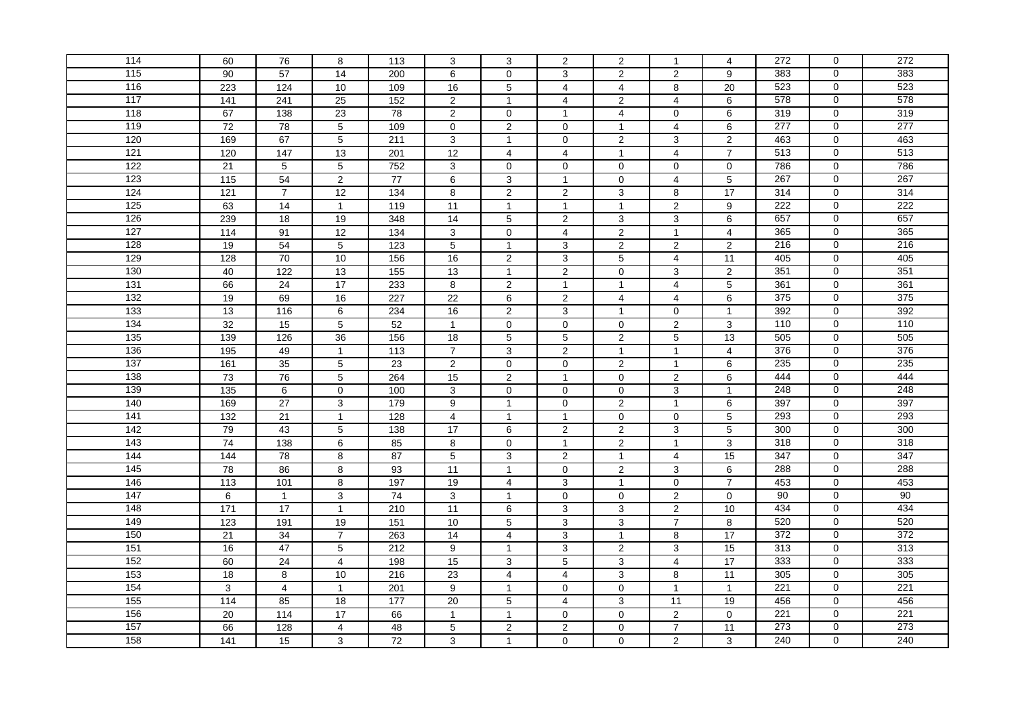| 114              | 60               | 76                | 8               | 113               | 3               | 3                       | 2                   | 2              | $\overline{1}$          | 4               | 272              | $\mathbf 0$         | 272              |
|------------------|------------------|-------------------|-----------------|-------------------|-----------------|-------------------------|---------------------|----------------|-------------------------|-----------------|------------------|---------------------|------------------|
| $\overline{115}$ | 90               | 57                | 14              | 200               | 6               | $\mathbf 0$             | 3                   | $\overline{2}$ | 2                       | 9               | 383              | $\mathbf 0$         | 383              |
| 116              | 223              | 124               | 10              | 109               | 16              | $\mathbf 5$             | $\overline{4}$      | $\overline{4}$ | 8                       | 20              | 523              | $\mathbf 0$         | 523              |
| 117              | 141              | 241               | 25              | 152               | $\overline{2}$  | $\mathbf{1}$            | $\overline{4}$      | 2              | $\overline{4}$          | 6               | 578              | $\mathbf 0$         | 578              |
| 118              | 67               | $\frac{138}{ }$   | $\overline{23}$ | $\overline{78}$   | $\overline{2}$  | $\pmb{0}$               | $\mathbf{1}$        | $\overline{4}$ | $\mathbf 0$             | 6               | 319              | $\mathbf 0$         | 319              |
| 119              | $\overline{72}$  | $\overline{78}$   | $\,$ 5 $\,$     | 109               | $\mathbf 0$     | $\boldsymbol{2}$        | $\mathbf 0$         | $\mathbf{1}$   | $\overline{4}$          | 6               | 277              | $\mathbf 0$         | 277              |
| 120              | 169              | 67                | $\overline{5}$  | 211               | 3               | $\mathbf{1}$            | $\mathbf 0$         | $\overline{2}$ | $\overline{3}$          | $\overline{2}$  | 463              | $\mathbf 0$         | 463              |
| 121              | 120              | 147               | 13              | 201               | 12              | $\overline{4}$          | $\overline{4}$      | $\mathbf{1}$   | $\overline{4}$          | $\overline{7}$  | 513              | $\overline{0}$      | 513              |
| 122              | 21               | $\overline{5}$    | $\overline{5}$  | 752               | 3               | $\pmb{0}$               | $\mathbf 0$         | $\pmb{0}$      | $\mathbf 0$             | $\overline{0}$  | 786              | $\mathbf 0$         | 786              |
| 123              | 115              | 54                | 2               | 77                | 6               | $\mathbf{3}$            | $\mathbf{1}$        | $\mathbf 0$    | $\overline{4}$          | $\sqrt{5}$      | 267              | $\mathbf 0$         | 267              |
| 124              | $121$            | $\overline{7}$    | $\overline{12}$ | 134               | 8               | $\overline{2}$          | $\overline{2}$      | 3              | 8                       | 17              | 314              | $\mathbf 0$         | 314              |
| 125              | 63               | 14                | $\mathbf{1}$    | 119               | 11              | $\mathbf{1}$            | $\mathbf{1}$        | $\mathbf{1}$   | $\overline{2}$          | 9               | 222              | $\mathbf 0$         | 222              |
| 126              | 239              | $\overline{18}$   | 19              | 348               | 14              | $\sqrt{5}$              | 2                   | $\mathbf{3}$   | $\mathsf 3$             | 6               | 657              | $\mathbf 0$         | 657              |
| 127              | 114              | 91                | 12              | 134               | 3               | $\mathbf 0$             | $\overline{4}$      | $\overline{2}$ | $\overline{1}$          | $\overline{4}$  | 365              | $\mathbf 0$         | 365              |
| 128              | 19               | 54                | $\sqrt{5}$      | 123               | 5               | $\mathbf{1}$            | 3                   | $\overline{2}$ | $\overline{2}$          | $\overline{2}$  | 216              | $\mathbf 0$         | 216              |
| 129              | 128              | 70                | 10              | 156               | 16              | $\overline{2}$          | 3                   | 5              | $\overline{4}$          | 11              | 405              | $\mathbf 0$         | 405              |
| 130              | 40               | 122               | 13              | 155               | $\overline{13}$ | $\mathbf{1}$            | $\overline{2}$      | 0              | 3                       | $\overline{2}$  | 351              | $\mathbf 0$         | 351              |
| 131              | 66               | $\overline{24}$   | $\overline{17}$ | 233               | 8               | $\overline{2}$          | $\mathbf{1}$        | $\mathbf{1}$   | 4                       | $\overline{5}$  | 361              | $\mathsf 0$         | 361              |
| 132              | 19               | 69                | 16              | 227               | $\overline{22}$ | $\overline{6}$          | $\overline{2}$      | $\overline{4}$ | $\overline{4}$          | $\overline{6}$  | 375              | $\mathbf 0$         | 375              |
| 133              | 13               | 116               | 6               | 234               | 16              | $\mathbf 2$             | $\mathsf 3$         | $\mathbf{1}$   | $\mathbf 0$             | $\mathbf{1}$    | 392              | $\mathbf 0$         | 392              |
| 134              | 32               | 15                | 5               | 52                | $\mathbf{1}$    | $\mathbf 0$             | $\mathbf 0$         | $\mathbf 0$    | 2                       | 3               | 110              | $\mathbf 0$         | 110              |
| 135              | $\frac{139}{ }$  | 126               | 36              | 156               | $\overline{18}$ | $\overline{5}$          | $\overline{5}$      | $\overline{2}$ | $\overline{5}$          | 13              | 505              | $\mathsf 0$         | 505              |
| 136              | 195              | 49                | $\mathbf{1}$    | $\frac{113}{2}$   | $\overline{7}$  | $\overline{3}$          | $\overline{c}$      | $\mathbf{1}$   | $\overline{1}$          | $\overline{4}$  | 376              | $\mathbf 0$         | 376              |
| 137              | 161              | 35                | 5               | 23                | 2               | $\overline{0}$          | $\mathbf 0$         | 2              | $\overline{1}$          | 6               | 235              | $\mathbf 0$         | 235              |
| 138              | 73               | 76                | $\sqrt{5}$      | 264               | 15              | $\overline{2}$          | $\mathbf{1}$        | $\mathbf 0$    | $\overline{2}$          | $6\overline{6}$ | 444              | $\overline{0}$      | 444              |
| 139              | $\overline{135}$ | $\,6\,$           | $\pmb{0}$       | 100               | 3               | $\pmb{0}$               | $\mathbf 0$         | $\mathbf 0$    | $\mathbf{3}$            | $\mathbf{1}$    | 248              | $\mathbf 0$         | 248              |
| 140              | 169              | $\overline{27}$   | 3               | 179               | 9               | $\mathbf{1}$            | $\mathbf 0$         | $\overline{2}$ | $\overline{1}$          | 6               | 397              | $\mathbf 0$         | 397              |
| 141              | 132              | 21                | $\mathbf{1}$    | 128               | $\overline{4}$  | $\mathbf{1}$            | $\mathbf{1}$        | $\mathbf 0$    | $\mathbf 0$             | $\overline{5}$  | 293              | $\mathbf 0$         | 293              |
| 142              | 79               | 43                | $\,$ 5 $\,$     | $\frac{138}{ }$   | 17              | $\,6\,$                 | 2                   | $\overline{2}$ | $\mathbf{3}$            | 5               | 300              | $\pmb{0}$           | 300              |
| 143              | 74               | 138               | 6               | 85                | 8               | $\pmb{0}$               | $\mathbf{1}$        | $\overline{2}$ | $\overline{1}$          | $\overline{3}$  | 318              | $\mathbf 0$         | 318              |
| 144              | 144              | 78                | 8               | 87                | 5               | $\sqrt{3}$              | $\overline{2}$      | $\mathbf{1}$   | $\overline{\mathbf{4}}$ | 15              | 347              | $\mathbf 0$         | 347              |
| 145              | 78               | 86                | $\bf8$          | 93                | 11              | $\mathbf{1}$            | $\mathsf{O}\xspace$ | $\overline{2}$ | $\mathbf{3}$            | 6               | 288              | $\mathbf 0$         | 288              |
| 146              | 113              | 101               | 8               | 197               | 19              | $\overline{4}$          | $\overline{3}$      | $\mathbf{1}$   | $\mathbf 0$             | $\overline{7}$  | 453              | $\mathbf 0$         | 453              |
| 147              | 6                | $\mathbf{1}$      | 3               | $\overline{74}$   | 3               | $\mathbf{1}$            | $\mathbf 0$         | $\mathbf 0$    | $\sqrt{2}$              | $\mathbf 0$     | 90               | $\mathsf{O}\xspace$ | 90               |
| 148              | $\frac{1}{171}$  | $\overline{17}$   | $\mathbf{1}$    | 210               | $\overline{11}$ | 6                       | 3                   | 3              | 2                       | 10              | 434              | $\mathsf 0$         | 434              |
| 149              | $\overline{123}$ | 191               | 19              | $\frac{151}{151}$ | 10              | $\overline{5}$          | $\mathbf{3}$        | $\overline{3}$ | $\overline{7}$          | 8               | 520              | $\mathbf 0$         | 520              |
| 150              | 21               | 34                | $\overline{7}$  | 263               | 14              | $\overline{\mathbf{4}}$ | 3                   | $\mathbf{1}$   | 8                       | $\overline{17}$ | 372              | $\mathbf 0$         | 372              |
| 151              | 16               | 47                | $\,$ 5 $\,$     | 212               | 9               | $\overline{1}$          | 3                   | $\overline{2}$ | 3                       | 15              | 313              | $\mathbf 0$         | 313              |
| 152              | 60               | 24                | $\overline{4}$  | 198               | $\overline{15}$ | $\sqrt{3}$              | $\overline{5}$      | $\overline{3}$ | $\overline{4}$          | 17              | 333              | $\overline{0}$      | 333              |
| 153              | $\overline{18}$  | 8                 | 10              | 216               | 23              | $\overline{4}$          | 4                   | 3              | 8                       | $\overline{11}$ | 305              | $\mathbf 0$         | 305              |
| 154              | 3                | $\overline{4}$    | $\mathbf{1}$    | 201               | 9               | $\mathbf{1}$            | $\mathbf 0$         | $\mathbf 0$    | $\overline{1}$          | $\mathbf{1}$    | $\overline{221}$ | $\mathbf 0$         | 221              |
| 155              | 114              | 85                | 18              | 177               | 20              | $\overline{5}$          | $\overline{4}$      | $\overline{3}$ | 11                      | 19              | 456              | $\pmb{0}$           | 456              |
| 156              | $\overline{20}$  | $\frac{114}{114}$ | 17              | 66                | $\mathbf{1}$    | $\mathbf{1}$            | $\mathbf 0$         | $\pmb{0}$      | $\mathbf 2$             | $\mathbf 0$     | 221              | $\mathbf 0$         | $\overline{221}$ |
| 157              | 66               | 128               | $\overline{4}$  | 48                | 5               | $\boldsymbol{2}$        | 2                   | $\mathbf 0$    | $\overline{7}$          | 11              | 273              | $\mathbf 0$         | 273              |
| 158              | 141              | 15                | 3               | 72                | 3               | $\mathbf{1}$            | $\mathbf 0$         | $\mathbf 0$    | $\overline{2}$          | 3               | 240              | 0                   | 240              |